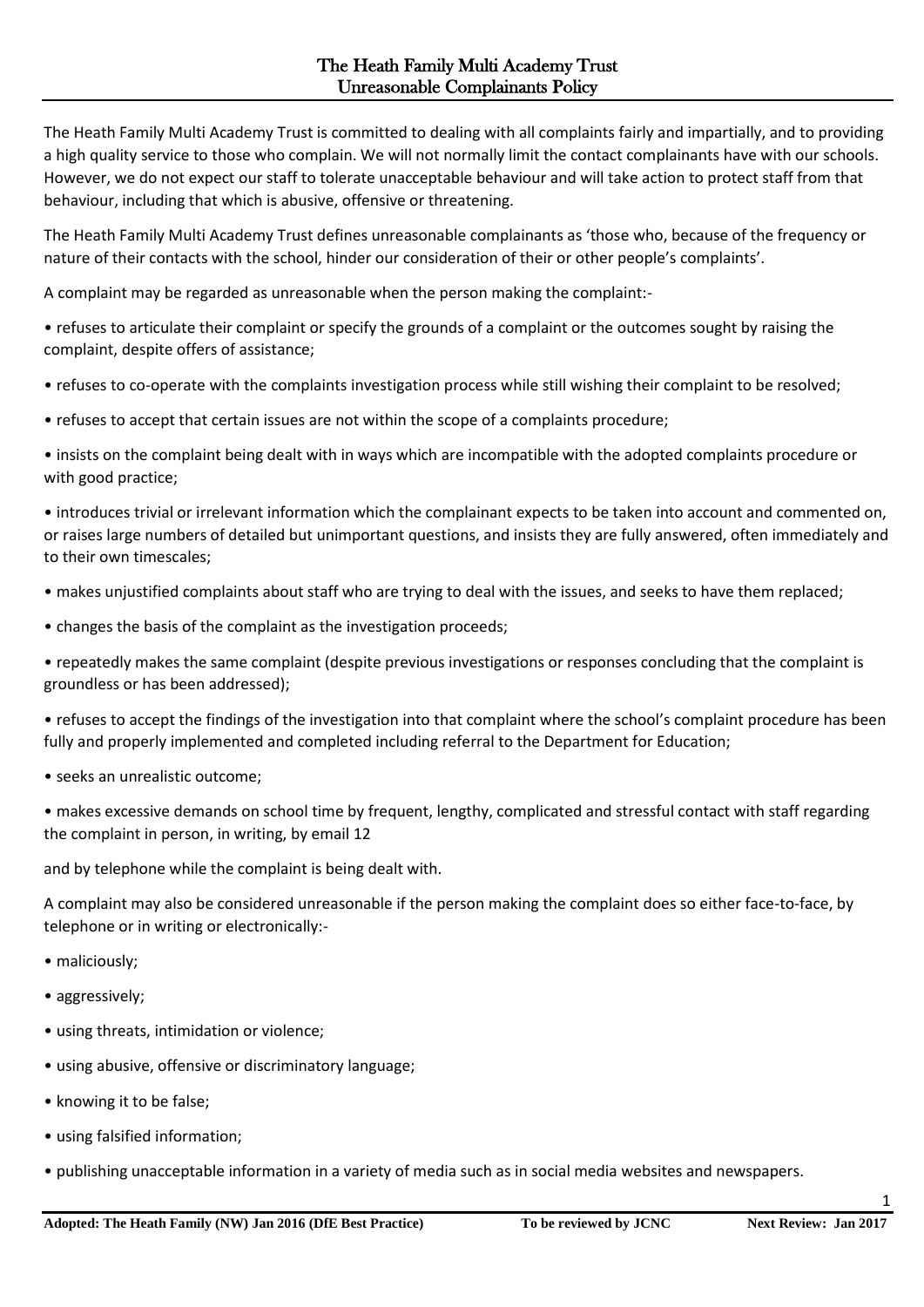The Heath Family Multi Academy Trust is committed to dealing with all complaints fairly and impartially, and to providing a high quality service to those who complain. We will not normally limit the contact complainants have with our schools. However, we do not expect our staff to tolerate unacceptable behaviour and will take action to protect staff from that behaviour, including that which is abusive, offensive or threatening.

The Heath Family Multi Academy Trust defines unreasonable complainants as 'those who, because of the frequency or nature of their contacts with the school, hinder our consideration of their or other people's complaints'.

A complaint may be regarded as unreasonable when the person making the complaint:-

• refuses to articulate their complaint or specify the grounds of a complaint or the outcomes sought by raising the complaint, despite offers of assistance;

• refuses to co-operate with the complaints investigation process while still wishing their complaint to be resolved;

• refuses to accept that certain issues are not within the scope of a complaints procedure;

• insists on the complaint being dealt with in ways which are incompatible with the adopted complaints procedure or with good practice;

• introduces trivial or irrelevant information which the complainant expects to be taken into account and commented on, or raises large numbers of detailed but unimportant questions, and insists they are fully answered, often immediately and to their own timescales;

• makes unjustified complaints about staff who are trying to deal with the issues, and seeks to have them replaced;

• changes the basis of the complaint as the investigation proceeds;

• repeatedly makes the same complaint (despite previous investigations or responses concluding that the complaint is groundless or has been addressed);

• refuses to accept the findings of the investigation into that complaint where the school's complaint procedure has been fully and properly implemented and completed including referral to the Department for Education;

• seeks an unrealistic outcome;

• makes excessive demands on school time by frequent, lengthy, complicated and stressful contact with staff regarding the complaint in person, in writing, by email 12

and by telephone while the complaint is being dealt with.

A complaint may also be considered unreasonable if the person making the complaint does so either face-to-face, by telephone or in writing or electronically:-

- maliciously;
- aggressively;
- using threats, intimidation or violence;
- using abusive, offensive or discriminatory language;
- knowing it to be false;
- using falsified information;
- publishing unacceptable information in a variety of media such as in social media websites and newspapers.